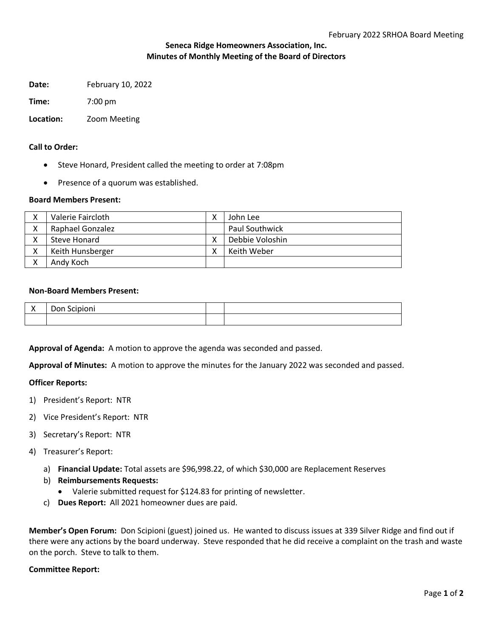# **Seneca Ridge Homeowners Association, Inc. Minutes of Monthly Meeting of the Board of Directors**

**Date:** February 10, 2022

**Time:** 7:00 pm

# **Location:** Zoom Meeting

## **Call to Order:**

- Steve Honard, President called the meeting to order at 7:08pm
- Presence of a quorum was established.

### **Board Members Present:**

|   | Valerie Faircloth | v | John Lee              |
|---|-------------------|---|-----------------------|
| v | Raphael Gonzalez  |   | <b>Paul Southwick</b> |
|   | Steve Honard      |   | Debbie Voloshin       |
| v | Keith Hunsberger  |   | Keith Weber           |
|   | Andy Koch         |   |                       |

### **Non-Board Members Present:**

| . . | ו טע<br>ںر<br>◡᠁ |  |
|-----|------------------|--|
|     |                  |  |

**Approval of Agenda:** A motion to approve the agenda was seconded and passed.

**Approval of Minutes:** A motion to approve the minutes for the January 2022 was seconded and passed.

### **Officer Reports:**

- 1) President's Report: NTR
- 2) Vice President's Report: NTR
- 3) Secretary's Report: NTR
- 4) Treasurer's Report:
	- a) **Financial Update:** Total assets are \$96,998.22, of which \$30,000 are Replacement Reserves
	- b) **Reimbursements Requests:** 
		- Valerie submitted request for \$124.83 for printing of newsletter.
	- c) **Dues Report:** All 2021 homeowner dues are paid.

**Member's Open Forum:** Don Scipioni (guest) joined us. He wanted to discuss issues at 339 Silver Ridge and find out if there were any actions by the board underway. Steve responded that he did receive a complaint on the trash and waste on the porch. Steve to talk to them.

### **Committee Report:**